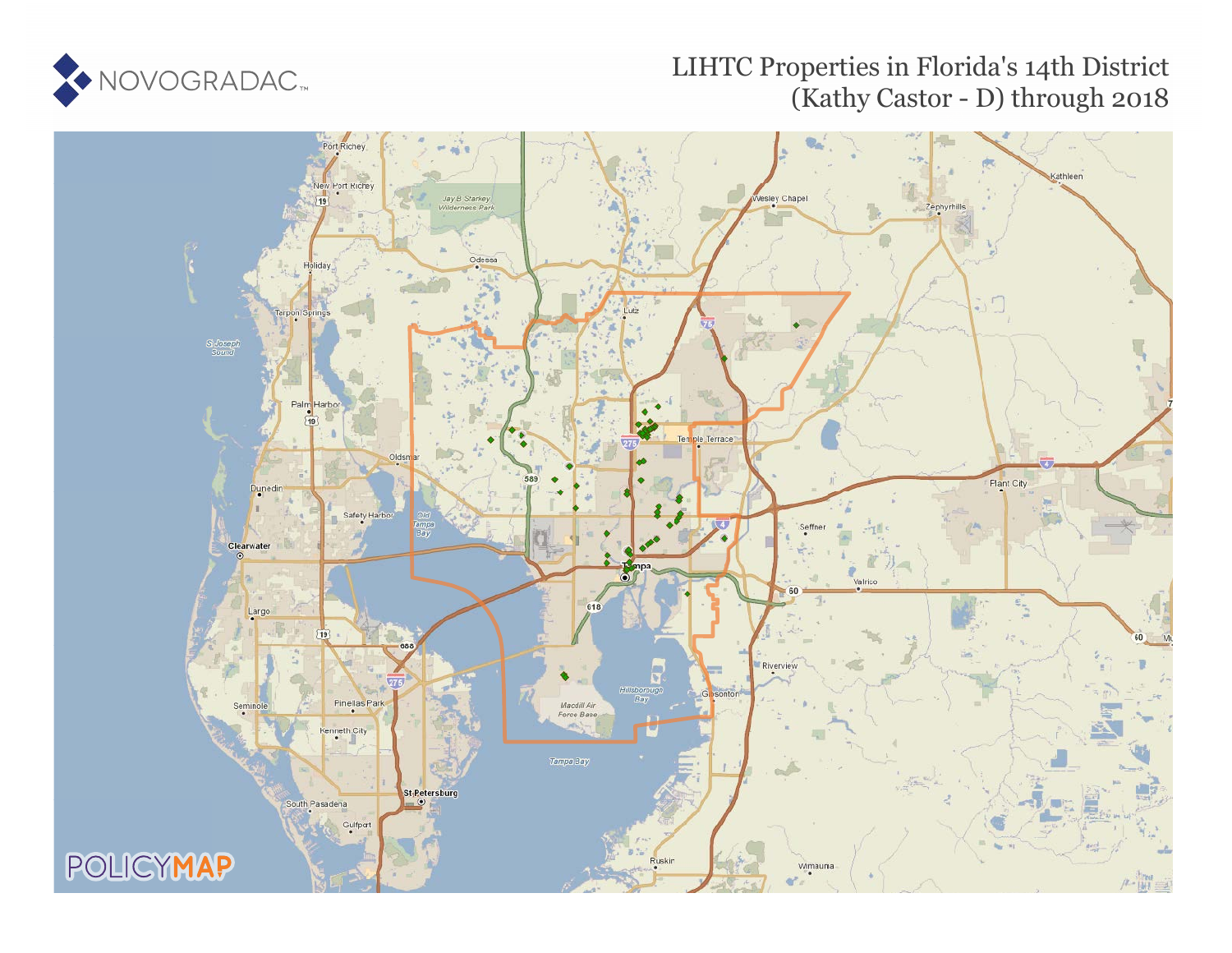

## LIHTC Properties in Florida's 14th District (Kathy Castor - D) through 2018

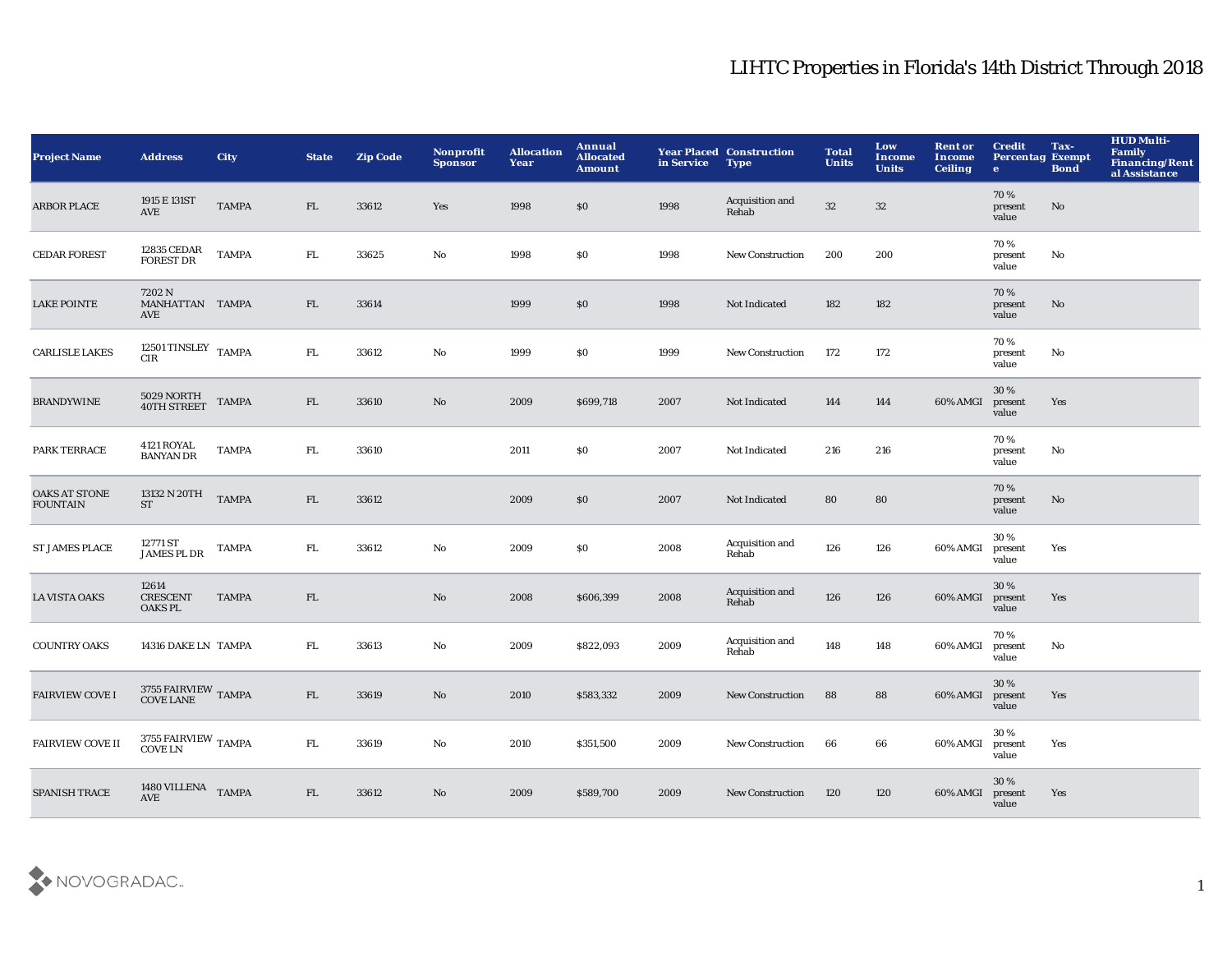| <b>Project Name</b>                     | <b>Address</b>                             | City         | <b>State</b> | <b>Zip Code</b> | <b>Nonprofit</b><br><b>Sponsor</b> | <b>Allocation</b><br>Year | Annual<br><b>Allocated</b><br><b>Amount</b> | in Service | <b>Year Placed Construction</b><br><b>Type</b> | <b>Total</b><br><b>Units</b> | Low<br><b>Income</b><br><b>Units</b> | <b>Rent or</b><br>Income<br><b>Ceiling</b> | <b>Credit</b><br><b>Percentag Exempt</b><br>$\mathbf{e}$ | Tax-<br><b>Bond</b> | <b>HUD Multi-</b><br><b>Family</b><br>Financing/Rent<br>al Assistance |
|-----------------------------------------|--------------------------------------------|--------------|--------------|-----------------|------------------------------------|---------------------------|---------------------------------------------|------------|------------------------------------------------|------------------------------|--------------------------------------|--------------------------------------------|----------------------------------------------------------|---------------------|-----------------------------------------------------------------------|
| <b>ARBOR PLACE</b>                      | 1915 E 131ST<br>AVE                        | <b>TAMPA</b> | FL           | 33612           | Yes                                | 1998                      | \$0                                         | 1998       | Acquisition and<br>Rehab                       | $32\,$                       | $32\,$                               |                                            | 70%<br>present<br>value                                  | No                  |                                                                       |
| <b>CEDAR FOREST</b>                     | 12835 CEDAR<br><b>FOREST DR</b>            | <b>TAMPA</b> | FL.          | 33625           | No                                 | 1998                      | \$0                                         | 1998       | New Construction                               | 200                          | 200                                  |                                            | 70%<br>present<br>value                                  | No                  |                                                                       |
| <b>LAKE POINTE</b>                      | 7202 N<br>MANHATTAN TAMPA<br>AVE           |              | FL           | 33614           |                                    | 1999                      | $\$0$                                       | 1998       | Not Indicated                                  | 182                          | 182                                  |                                            | 70%<br>present<br>value                                  | No                  |                                                                       |
| <b>CARLISLE LAKES</b>                   | 12501 TINSLEY $\,$ TAMPA<br>CIR            |              | ${\rm FL}$   | 33612           | $\mathbf{N}\mathbf{o}$             | 1999                      | \$0\$                                       | 1999       | New Construction                               | 172                          | 172                                  |                                            | 70%<br>present<br>value                                  | No                  |                                                                       |
| <b>BRANDYWINE</b>                       | $5029$ NORTH $40\mathrm{TH}$ STREET        | <b>TAMPA</b> | FL           | 33610           | No                                 | 2009                      | \$699,718                                   | 2007       | Not Indicated                                  | 144                          | 144                                  | 60% AMGI                                   | 30%<br>present<br>value                                  | Yes                 |                                                                       |
| PARK TERRACE                            | <b>4121 ROYAL</b><br><b>BANYAN DR</b>      | <b>TAMPA</b> | FL.          | 33610           |                                    | 2011                      | \$0\$                                       | 2007       | Not Indicated                                  | 216                          | 216                                  |                                            | 70%<br>present<br>value                                  | No                  |                                                                       |
| <b>OAKS AT STONE</b><br><b>FOUNTAIN</b> | 13132 N 20TH<br><b>ST</b>                  | <b>TAMPA</b> | FL           | 33612           |                                    | 2009                      | $\$0$                                       | 2007       | Not Indicated                                  | ${\bf 80}$                   | 80                                   |                                            | 70%<br>present<br>value                                  | No                  |                                                                       |
| <b>ST JAMES PLACE</b>                   | 12771 ST<br><b>JAMES PL DR</b>             | <b>TAMPA</b> | ${\rm FL}$   | 33612           | No                                 | 2009                      | \$0\$                                       | 2008       | Acquisition and<br>Rehab                       | 126                          | 126                                  | 60% AMGI                                   | 30%<br>present<br>value                                  | Yes                 |                                                                       |
| <b>LA VISTA OAKS</b>                    | 12614<br><b>CRESCENT</b><br><b>OAKS PL</b> | <b>TAMPA</b> | FL           |                 | No                                 | 2008                      | \$606,399                                   | 2008       | Acquisition and<br>Rehab                       | 126                          | 126                                  | 60% AMGI                                   | 30%<br>present<br>value                                  | Yes                 |                                                                       |
| <b>COUNTRY OAKS</b>                     | 14316 DAKE LN TAMPA                        |              | ${\rm FL}$   | 33613           | No                                 | 2009                      | \$822,093                                   | 2009       | Acquisition and<br>Rehab                       | 148                          | 148                                  | 60% AMGI                                   | 70%<br>present<br>value                                  | No                  |                                                                       |
| <b>FAIRVIEW COVE I</b>                  | $3755$ FAIRVIEW $\,$ TAMPA COVE LANE       |              | FL           | 33619           | No                                 | 2010                      | \$583,332                                   | 2009       | <b>New Construction</b>                        | 88                           | 88                                   | 60% AMGI                                   | 30 %<br>present<br>value                                 | Yes                 |                                                                       |
| <b>FAIRVIEW COVE II</b>                 | $3755$ FAIRVIEW $\,$ TAMPA COVE LN         |              | FL.          | 33619           | No                                 | 2010                      | \$351,500                                   | 2009       | <b>New Construction</b>                        | 66                           | 66                                   | 60% AMGI                                   | 30%<br>present<br>value                                  | Yes                 |                                                                       |
| <b>SPANISH TRACE</b>                    | 1480 VILLENA TAMPA<br><b>AVE</b>           |              | FL           | 33612           | No                                 | 2009                      | \$589,700                                   | 2009       | <b>New Construction</b>                        | 120                          | 120                                  | 60% AMGI                                   | 30 %<br>present<br>value                                 | Yes                 |                                                                       |

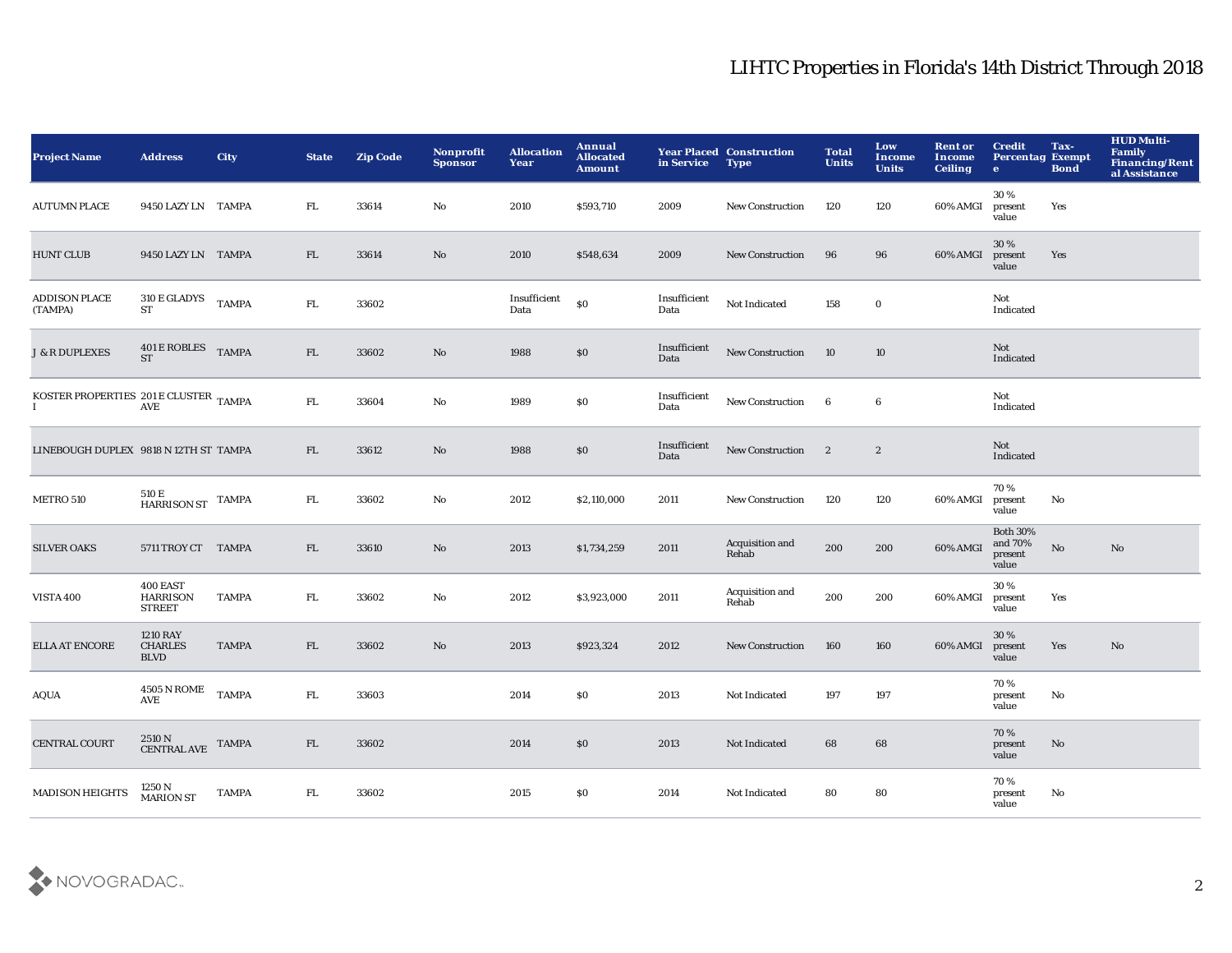| <b>Project Name</b>                                                                                                         | <b>Address</b>                                   | <b>City</b>  | <b>State</b> | <b>Zip Code</b> | Nonprofit<br><b>Sponsor</b> | <b>Allocation</b><br>Year | <b>Annual</b><br><b>Allocated</b><br><b>Amount</b> | in Service           | <b>Year Placed Construction</b><br><b>Type</b> | <b>Total</b><br><b>Units</b> | Low<br><b>Income</b><br><b>Units</b> | <b>Rent or</b><br><b>Income</b><br><b>Ceiling</b> | <b>Credit</b><br><b>Percentag Exempt</b><br>$\bullet$ | Tax-<br><b>Bond</b>    | <b>HUD Multi-</b><br><b>Family</b><br>Financing/Rent<br>al Assistance |
|-----------------------------------------------------------------------------------------------------------------------------|--------------------------------------------------|--------------|--------------|-----------------|-----------------------------|---------------------------|----------------------------------------------------|----------------------|------------------------------------------------|------------------------------|--------------------------------------|---------------------------------------------------|-------------------------------------------------------|------------------------|-----------------------------------------------------------------------|
| <b>AUTUMN PLACE</b>                                                                                                         | 9450 LAZY LN TAMPA                               |              | FL.          | 33614           | No                          | 2010                      | \$593,710                                          | 2009                 | New Construction                               | 120                          | 120                                  | 60% AMGI                                          | 30%<br>present<br>value                               | Yes                    |                                                                       |
| <b>HUNT CLUB</b>                                                                                                            | 9450 LAZY LN TAMPA                               |              | FL           | 33614           | No                          | 2010                      | \$548,634                                          | 2009                 | New Construction                               | 96                           | 96                                   | 60% AMGI                                          | 30 %<br>present<br>value                              | Yes                    |                                                                       |
| <b>ADDISON PLACE</b><br>(TAMPA)                                                                                             | 310 E GLADYS<br><b>ST</b>                        | <b>TAMPA</b> | ${\rm FL}$   | 33602           |                             | Insufficient<br>Data      | \$0                                                | Insufficient<br>Data | Not Indicated                                  | 158                          | $\mathbf 0$                          |                                                   | Not<br>Indicated                                      |                        |                                                                       |
| <b>J &amp; R DUPLEXES</b>                                                                                                   | 401 E ROBLES TAMPA<br><b>ST</b>                  |              | FL           | 33602           | No                          | 1988                      | \$0                                                | Insufficient<br>Data | <b>New Construction</b>                        | 10                           | 10                                   |                                                   | Not<br>Indicated                                      |                        |                                                                       |
| $\begin{array}{ll} \textsc{KOSTER PROPERTIES}\ \textsc{201}\, \textsc{E CLUSTER}\ \textsc{TAMPA} \\ \textsc{1} \end{array}$ |                                                  |              | ${\rm FL}$   | 33604           | No                          | 1989                      | \$0                                                | Insufficient<br>Data | New Construction 6                             |                              | 6                                    |                                                   | Not<br>Indicated                                      |                        |                                                                       |
| LINEBOUGH DUPLEX 9818 N 12TH ST TAMPA                                                                                       |                                                  |              | FL           | 33612           | No                          | 1988                      | \$0                                                | Insufficient<br>Data | New Construction 2                             |                              | $\boldsymbol{2}$                     |                                                   | Not<br>Indicated                                      |                        |                                                                       |
| METRO 510                                                                                                                   | 510 E<br>HARRISON ST TAMPA                       |              | FL.          | 33602           | No                          | 2012                      | \$2,110,000                                        | 2011                 | <b>New Construction</b>                        | 120                          | 120                                  | 60% AMGI                                          | 70%<br>present<br>value                               | No                     |                                                                       |
| <b>SILVER OAKS</b>                                                                                                          | 5711 TROY CT TAMPA                               |              | FL           | 33610           | No                          | 2013                      | \$1,734,259                                        | 2011                 | Acquisition and<br>Rehab                       | 200                          | 200                                  | 60% AMGI                                          | <b>Both 30%</b><br>and 70%<br>present<br>value        | $\mathbf{N}\mathbf{o}$ | No                                                                    |
| <b>VISTA 400</b>                                                                                                            | 400 EAST<br><b>HARRISON</b><br><b>STREET</b>     | <b>TAMPA</b> | FL.          | 33602           | No                          | 2012                      | \$3,923,000                                        | 2011                 | Acquisition and<br>Rehab                       | 200                          | 200                                  | 60% AMGI                                          | 30%<br>present<br>value                               | Yes                    |                                                                       |
| ELLA AT ENCORE                                                                                                              | <b>1210 RAY</b><br><b>CHARLES</b><br><b>BLVD</b> | <b>TAMPA</b> | FL           | 33602           | No                          | 2013                      | \$923,324                                          | 2012                 | <b>New Construction</b>                        | 160                          | 160                                  | 60% AMGI                                          | 30%<br>present<br>value                               | Yes                    | No                                                                    |
| $\rm AQUA$                                                                                                                  | $4505$ N ROME $\quad$ TAMPA<br>AVE               |              | ${\rm FL}$   | 33603           |                             | 2014                      | \$0                                                | 2013                 | Not Indicated                                  | 197                          | 197                                  |                                                   | 70%<br>present<br>value                               | No                     |                                                                       |
| <b>CENTRAL COURT</b>                                                                                                        | $2510\,\mathrm{N}$ CENTRAL AVE TAMPA             |              | FL           | 33602           |                             | 2014                      | \$0                                                | 2013                 | Not Indicated                                  | 68                           | 68                                   |                                                   | 70%<br>present<br>value                               | $\mathbf{N}\mathbf{o}$ |                                                                       |
| MADISON HEIGHTS                                                                                                             | 1250 N<br><b>MARION ST</b>                       | <b>TAMPA</b> | FL.          | 33602           |                             | 2015                      | \$0                                                | 2014                 | Not Indicated                                  | 80                           | 80                                   |                                                   | 70%<br>present<br>value                               | No                     |                                                                       |

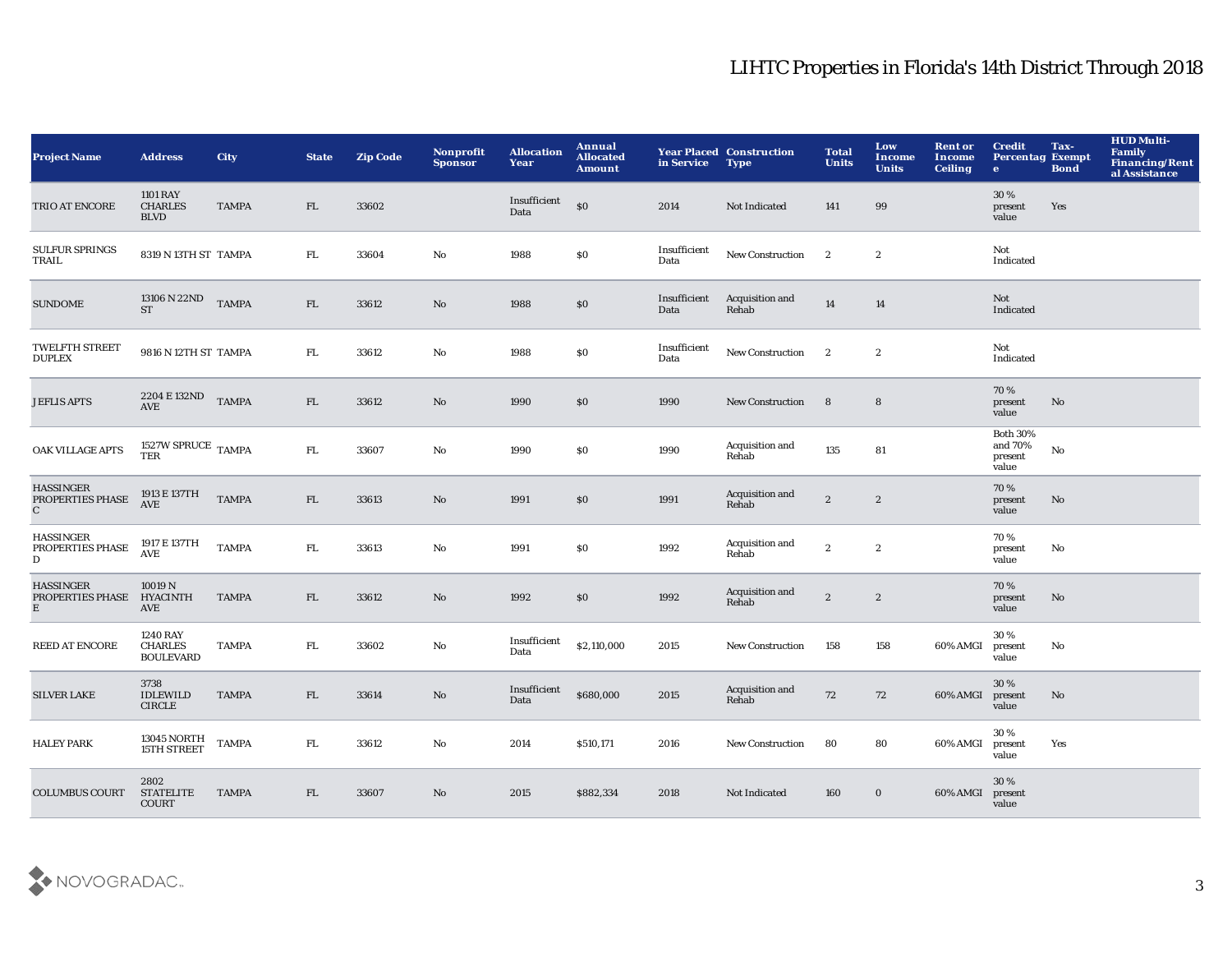| <b>Project Name</b>                                  | <b>Address</b>                                        | <b>City</b>  | <b>State</b> | <b>Zip Code</b> | Nonprofit<br><b>Sponsor</b> | <b>Allocation</b><br>Year | Annual<br><b>Allocated</b><br>Amount | in Service           | <b>Year Placed Construction</b><br><b>Type</b> | <b>Total</b><br><b>Units</b> | Low<br><b>Income</b><br><b>Units</b> | <b>Rent or</b><br>Income<br><b>Ceiling</b> | <b>Credit</b><br><b>Percentag Exempt</b><br>$\mathbf{e}$ | Tax-<br><b>Bond</b> | <b>HUD Multi-</b><br><b>Family</b><br><b>Financing/Rent</b><br>al Assistance |
|------------------------------------------------------|-------------------------------------------------------|--------------|--------------|-----------------|-----------------------------|---------------------------|--------------------------------------|----------------------|------------------------------------------------|------------------------------|--------------------------------------|--------------------------------------------|----------------------------------------------------------|---------------------|------------------------------------------------------------------------------|
| TRIO AT ENCORE                                       | <b>1101 RAY</b><br><b>CHARLES</b><br><b>BLVD</b>      | <b>TAMPA</b> | FL.          | 33602           |                             | Insufficient<br>Data      | \$0                                  | 2014                 | Not Indicated                                  | 141                          | 99                                   |                                            | 30%<br>present<br>value                                  | Yes                 |                                                                              |
| <b>SULFUR SPRINGS</b><br>TRAIL                       | 8319 N 13TH ST TAMPA                                  |              | FL.          | 33604           | No                          | 1988                      | \$0                                  | Insufficient<br>Data | New Construction                               | $\mathbf{2}$                 | $\boldsymbol{2}$                     |                                            | Not<br>Indicated                                         |                     |                                                                              |
| <b>SUNDOME</b>                                       | 13106 N 22ND<br><b>ST</b>                             | <b>TAMPA</b> | FL           | 33612           | No                          | 1988                      | $\$0$                                | Insufficient<br>Data | Acquisition and<br>Rehab                       | 14                           | 14                                   |                                            | Not<br>Indicated                                         |                     |                                                                              |
| <b>TWELFTH STREET</b><br><b>DUPLEX</b>               | 9816 N 12TH ST TAMPA                                  |              | FL.          | 33612           | No                          | 1988                      | $\$0$                                | Insufficient<br>Data | New Construction                               | $\mathbf{2}$                 | $\boldsymbol{2}$                     |                                            | Not<br>Indicated                                         |                     |                                                                              |
| <b>JEFLIS APTS</b>                                   | 2204 E 132ND<br>AVE                                   | <b>TAMPA</b> | FL           | 33612           | No                          | 1990                      | \$0                                  | 1990                 | <b>New Construction</b>                        | 8                            | 8                                    |                                            | 70%<br>present<br>value                                  | No                  |                                                                              |
| OAK VILLAGE APTS                                     | 1527W SPRUCE TAMPA<br>TER                             |              | ${\bf FL}$   | 33607           | $\mathbf{No}$               | 1990                      | \$0                                  | 1990                 | Acquisition and<br>Rehab                       | 135                          | 81                                   |                                            | <b>Both 30%</b><br>and $70\%$<br>present<br>value        | No                  |                                                                              |
| <b>HASSINGER</b><br>PROPERTIES PHASE<br>$\mathbf{C}$ | 1913 E 137TH<br>AVE                                   | <b>TAMPA</b> | FL           | 33613           | No                          | 1991                      | \$0                                  | 1991                 | Acquisition and<br>Rehab                       | $\boldsymbol{2}$             | $\boldsymbol{2}$                     |                                            | 70%<br>present<br>value                                  | No                  |                                                                              |
| <b>HASSINGER</b><br>PROPERTIES PHASE<br>D            | 1917 E 137TH<br>$\operatorname{\mathbf{AVE}}$         | <b>TAMPA</b> | FL.          | 33613           | No                          | 1991                      | \$0                                  | 1992                 | Acquisition and<br>Rehab                       | $\boldsymbol{2}$             | $\boldsymbol{2}$                     |                                            | 70%<br>present<br>value                                  | No                  |                                                                              |
| <b>HASSINGER</b><br>PROPERTIES PHASE<br>E            | 10019 N<br><b>HYACINTH</b><br>AVE                     | <b>TAMPA</b> | FL.          | 33612           | No                          | 1992                      | \$0                                  | 1992                 | Acquisition and<br>Rehab                       | $\boldsymbol{2}$             | $\boldsymbol{2}$                     |                                            | 70%<br>present<br>value                                  | No                  |                                                                              |
| <b>REED AT ENCORE</b>                                | <b>1240 RAY</b><br><b>CHARLES</b><br><b>BOULEVARD</b> | <b>TAMPA</b> | FL.          | 33602           | No                          | Insufficient<br>Data      | \$2,110,000                          | 2015                 | <b>New Construction</b>                        | 158                          | 158                                  | 60% AMGI                                   | 30%<br>present<br>value                                  | No                  |                                                                              |
| <b>SILVER LAKE</b>                                   | 3738<br><b>IDLEWILD</b><br><b>CIRCLE</b>              | <b>TAMPA</b> | FL.          | 33614           | No                          | Insufficient<br>Data      | \$680,000                            | 2015                 | Acquisition and<br>Rehab                       | 72                           | 72                                   | 60% AMGI                                   | 30 %<br>present<br>value                                 | No                  |                                                                              |
| <b>HALEY PARK</b>                                    | 13045 NORTH<br>15TH STREET                            | <b>TAMPA</b> | FL.          | 33612           | No                          | 2014                      | \$510,171                            | 2016                 | <b>New Construction</b>                        | 80                           | 80                                   | 60% AMGI                                   | 30%<br>present<br>value                                  | Yes                 |                                                                              |
| <b>COLUMBUS COURT</b>                                | 2802<br><b>STATELITE</b><br><b>COURT</b>              | <b>TAMPA</b> | FL.          | 33607           | $\mathbf{No}$               | 2015                      | \$882,334                            | 2018                 | Not Indicated                                  | 160                          | $\bf{0}$                             | 60% AMGI                                   | 30 %<br>present<br>value                                 |                     |                                                                              |

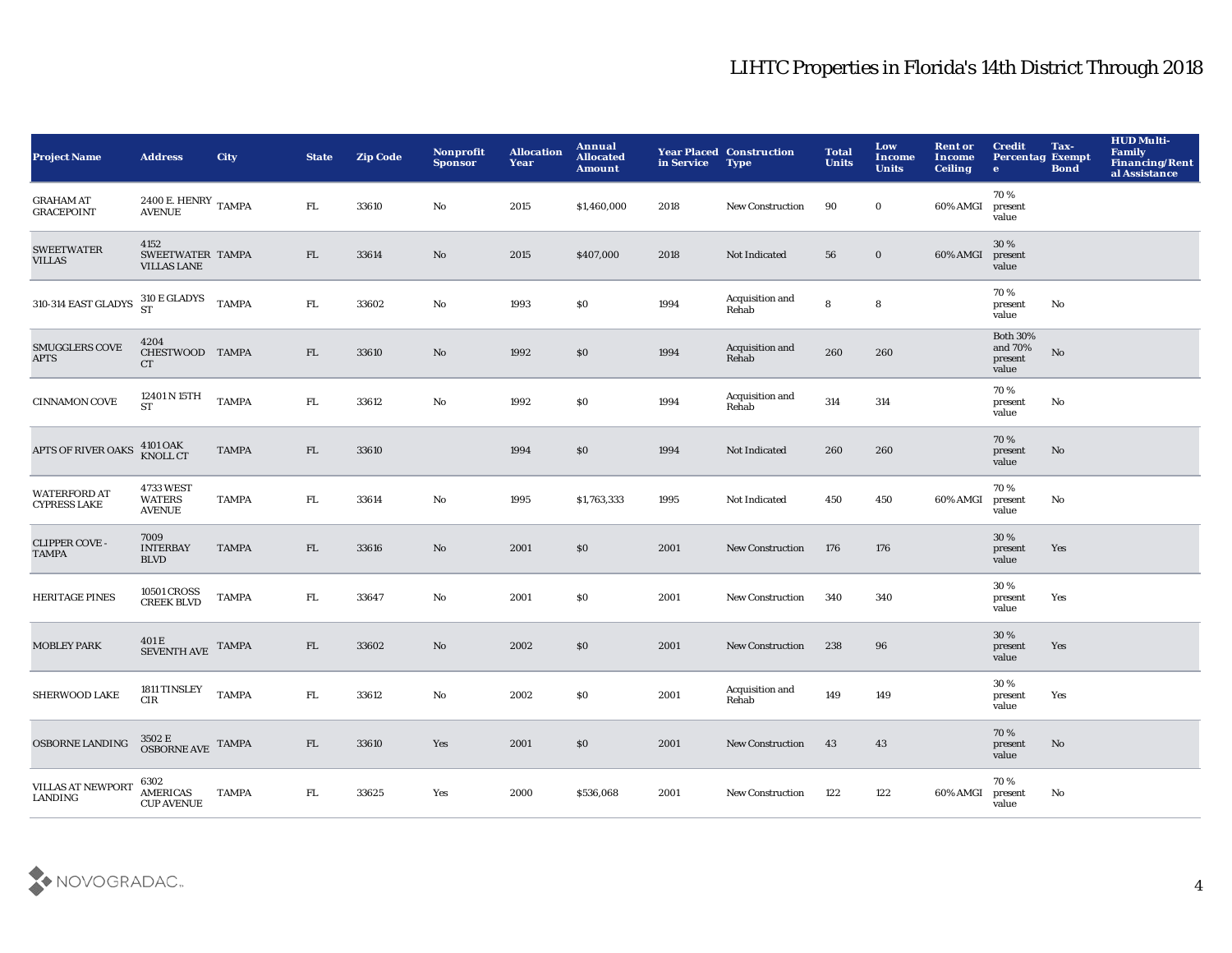| <b>Project Name</b>                        | <b>Address</b>                                 | <b>City</b>  | <b>State</b> | <b>Zip Code</b> | <b>Nonprofit</b><br><b>Sponsor</b> | <b>Allocation</b><br>Year | Annual<br><b>Allocated</b><br><b>Amount</b> | in Service | <b>Year Placed Construction</b><br><b>Type</b> | <b>Total</b><br><b>Units</b> | Low<br><b>Income</b><br><b>Units</b> | <b>Rent or</b><br><b>Income</b><br><b>Ceiling</b> | <b>Credit</b><br><b>Percentag Exempt</b><br>$\bullet$ | Tax-<br><b>Bond</b> | <b>HUD Multi-</b><br><b>Family</b><br>Financing/Rent<br>al Assistance |
|--------------------------------------------|------------------------------------------------|--------------|--------------|-----------------|------------------------------------|---------------------------|---------------------------------------------|------------|------------------------------------------------|------------------------------|--------------------------------------|---------------------------------------------------|-------------------------------------------------------|---------------------|-----------------------------------------------------------------------|
| <b>GRAHAM AT</b><br><b>GRACEPOINT</b>      | $2400$ E. HENRY $\,$ TAMPA<br><b>AVENUE</b>    |              | FL.          | 33610           | No                                 | 2015                      | \$1,460,000                                 | 2018       | New Construction                               | 90                           | $\bf{0}$                             | 60% AMGI                                          | 70%<br>present<br>value                               |                     |                                                                       |
| <b>SWEETWATER</b><br><b>VILLAS</b>         | 4152<br>SWEETWATER TAMPA<br><b>VILLAS LANE</b> |              | FL           | 33614           | $\mathbf{N}\mathbf{o}$             | 2015                      | \$407,000                                   | 2018       | Not Indicated                                  | 56                           | $\bf{0}$                             | 60% AMGI                                          | 30%<br>present<br>value                               |                     |                                                                       |
| 310-314 EAST GLADYS                        | 310 E GLADYS TAMPA                             |              | ${\rm FL}$   | 33602           | No                                 | 1993                      | \$0                                         | 1994       | Acquisition and<br>Rehab                       | 8                            | ${\bf 8}$                            |                                                   | 70 %<br>present<br>value                              | No                  |                                                                       |
| <b>SMUGGLERS COVE</b><br><b>APTS</b>       | 4204<br>CHESTWOOD TAMPA<br>CT                  |              | FL           | 33610           | $\rm No$                           | 1992                      | \$0                                         | 1994       | Acquisition and<br>Rehab                       | 260                          | 260                                  |                                                   | <b>Both 30%</b><br>and 70%<br>present<br>value        | $\mathbf {No}$      |                                                                       |
| <b>CINNAMON COVE</b>                       | 12401 N 15TH<br><b>ST</b>                      | <b>TAMPA</b> | ${\rm FL}$   | 33612           | $\rm No$                           | 1992                      | $\$0$                                       | 1994       | Acquisition and<br>Rehab                       | 314                          | 314                                  |                                                   | 70%<br>present<br>value                               | No                  |                                                                       |
| APTS OF RIVER OAKS                         | 4101 OAK<br>KNOLL CT                           | <b>TAMPA</b> | FL           | 33610           |                                    | 1994                      | \$0                                         | 1994       | Not Indicated                                  | 260                          | 260                                  |                                                   | 70%<br>present<br>value                               | No                  |                                                                       |
| <b>WATERFORD AT</b><br><b>CYPRESS LAKE</b> | 4733 WEST<br><b>WATERS</b><br><b>AVENUE</b>    | <b>TAMPA</b> | FL.          | 33614           | $\mathbf{N}\mathbf{o}$             | 1995                      | \$1,763,333                                 | 1995       | Not Indicated                                  | 450                          | 450                                  | 60% AMGI                                          | 70%<br>present<br>value                               | No                  |                                                                       |
| <b>CLIPPER COVE-</b><br><b>TAMPA</b>       | 7009<br><b>INTERBAY</b><br><b>BLVD</b>         | <b>TAMPA</b> | FL           | 33616           | No                                 | 2001                      | \$0                                         | 2001       | New Construction                               | 176                          | 176                                  |                                                   | 30%<br>present<br>value                               | Yes                 |                                                                       |
| <b>HERITAGE PINES</b>                      | 10501 CROSS<br>CREEK BLVD                      | <b>TAMPA</b> | FL.          | 33647           | No                                 | 2001                      | \$0                                         | 2001       | New Construction                               | 340                          | 340                                  |                                                   | 30%<br>present<br>value                               | Yes                 |                                                                       |
| <b>MOBLEY PARK</b>                         | $401\,\mathrm{E}$ SEVENTH AVE                  | <b>TAMPA</b> | FL           | 33602           | $\rm No$                           | 2002                      | \$0                                         | 2001       | <b>New Construction</b>                        | 238                          | 96                                   |                                                   | 30 %<br>present<br>value                              | Yes                 |                                                                       |
| SHERWOOD LAKE                              | 1811 TINSLEY<br>CIR                            | <b>TAMPA</b> | ${\rm FL}$   | 33612           | $\rm No$                           | 2002                      | \$0                                         | 2001       | Acquisition and<br>Rehab                       | 149                          | 149                                  |                                                   | 30%<br>present<br>value                               | Yes                 |                                                                       |
| <b>OSBORNE LANDING</b>                     | $3502\,\mathrm{E}$ OSBORNE AVE TAMPA           |              | FL           | 33610           | Yes                                | 2001                      | \$0                                         | 2001       | <b>New Construction</b>                        | 43                           | 43                                   |                                                   | 70%<br>present<br>value                               | No                  |                                                                       |
| <b>VILLAS AT NEWPORT</b><br>LANDING        | 6302<br><b>AMERICAS</b><br><b>CUP AVENUE</b>   | <b>TAMPA</b> | FL.          | 33625           | Yes                                | 2000                      | \$536,068                                   | 2001       | <b>New Construction</b>                        | 122                          | 122                                  | 60% AMGI                                          | 70%<br>present<br>value                               | No                  |                                                                       |

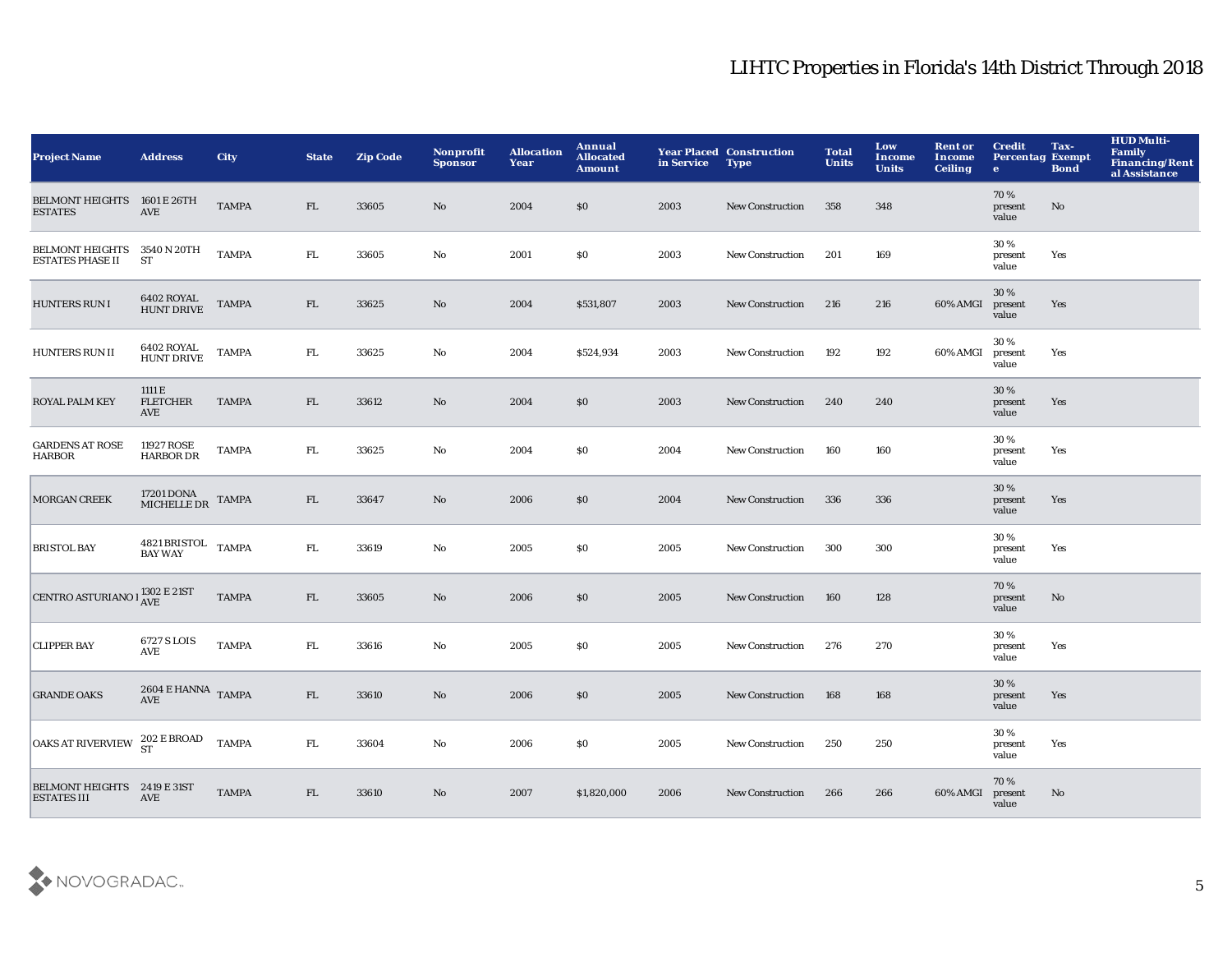| <b>Project Name</b>                                    | <b>Address</b>                   | <b>City</b>  | <b>State</b> | <b>Zip Code</b> | Nonprofit<br><b>Sponsor</b> | <b>Allocation</b><br>Year | Annual<br><b>Allocated</b><br><b>Amount</b> | in Service | <b>Year Placed Construction</b><br><b>Type</b> | <b>Total</b><br><b>Units</b> | Low<br><b>Income</b><br><b>Units</b> | <b>Rent or</b><br>Income<br><b>Ceiling</b> | <b>Credit</b><br><b>Percentag Exempt</b><br>$\mathbf{e}$ | Tax-<br><b>Bond</b> | <b>HUD Multi-</b><br><b>Family</b><br><b>Financing/Rent</b><br>al Assistance |
|--------------------------------------------------------|----------------------------------|--------------|--------------|-----------------|-----------------------------|---------------------------|---------------------------------------------|------------|------------------------------------------------|------------------------------|--------------------------------------|--------------------------------------------|----------------------------------------------------------|---------------------|------------------------------------------------------------------------------|
| BELMONT HEIGHTS 1601 E 26TH<br><b>ESTATES</b>          | AVE                              | <b>TAMPA</b> | FL           | 33605           | No                          | 2004                      | \$0                                         | 2003       | <b>New Construction</b>                        | 358                          | 348                                  |                                            | 70%<br>present<br>value                                  | No                  |                                                                              |
| BELMONT HEIGHTS 3540 N 20TH<br><b>ESTATES PHASE II</b> | <b>ST</b>                        | <b>TAMPA</b> | FL.          | 33605           | No                          | 2001                      | <b>SO</b>                                   | 2003       | <b>New Construction</b>                        | 201                          | 169                                  |                                            | 30%<br>present<br>value                                  | Yes                 |                                                                              |
| <b>HUNTERS RUN I</b>                                   | 6402 ROYAL<br>HUNT DRIVE         | <b>TAMPA</b> | FL           | 33625           | $\mathbf{No}$               | 2004                      | \$531,807                                   | 2003       | <b>New Construction</b>                        | 216                          | 216                                  | 60% AMGI                                   | 30%<br>present<br>value                                  | Yes                 |                                                                              |
| HUNTERS RUN II                                         | 6402 ROYAL<br><b>HUNT DRIVE</b>  | <b>TAMPA</b> | FL.          | 33625           | No                          | 2004                      | \$524,934                                   | 2003       | <b>New Construction</b>                        | 192                          | 192                                  | 60% AMGI                                   | 30%<br>present<br>value                                  | Yes                 |                                                                              |
| ROYAL PALM KEY                                         | 1111 E<br><b>FLETCHER</b><br>AVE | <b>TAMPA</b> | FL           | 33612           | No                          | 2004                      | \$0                                         | 2003       | <b>New Construction</b>                        | 240                          | 240                                  |                                            | 30%<br>present<br>value                                  | Yes                 |                                                                              |
| <b>GARDENS AT ROSE</b><br><b>HARBOR</b>                | 11927 ROSE<br><b>HARBOR DR</b>   | <b>TAMPA</b> | FL.          | 33625           | No                          | 2004                      | <b>SO</b>                                   | 2004       | <b>New Construction</b>                        | 160                          | 160                                  |                                            | 30%<br>present<br>value                                  | Yes                 |                                                                              |
| <b>MORGAN CREEK</b>                                    | 17201 DONA<br>MICHELLE DR        | <b>TAMPA</b> | FL           | 33647           | No                          | 2006                      | \$0                                         | 2004       | <b>New Construction</b>                        | 336                          | 336                                  |                                            | 30%<br>present<br>value                                  | Yes                 |                                                                              |
| <b>BRISTOL BAY</b>                                     | 4821 BRISTOL TAMPA<br>BAY WAY    |              | FL.          | 33619           | No                          | 2005                      | \$0                                         | 2005       | <b>New Construction</b>                        | 300                          | 300                                  |                                            | 30%<br>present<br>value                                  | Yes                 |                                                                              |
| CENTRO ASTURIANO I $_{\mbox{AVE}}^{1302}$ E 21ST       |                                  | <b>TAMPA</b> | FL           | 33605           | No                          | 2006                      | \$0                                         | 2005       | <b>New Construction</b>                        | 160                          | 128                                  |                                            | 70%<br>present<br>value                                  | No                  |                                                                              |
| <b>CLIPPER BAY</b>                                     | 6727 S LOIS<br>AVE               | <b>TAMPA</b> | FL.          | 33616           | No                          | 2005                      | \$0                                         | 2005       | <b>New Construction</b>                        | 276                          | 270                                  |                                            | 30%<br>present<br>value                                  | Yes                 |                                                                              |
| <b>GRANDE OAKS</b>                                     | 2604 E HANNA TAMPA<br><b>AVE</b> |              | FL           | 33610           | $\mathbf{No}$               | 2006                      | \$0                                         | 2005       | <b>New Construction</b>                        | 168                          | 168                                  |                                            | 30%<br>present<br>value                                  | Yes                 |                                                                              |
| <b>OAKS AT RIVERVIEW</b>                               | $202$ E BROAD ${\rm ST}$         | <b>TAMPA</b> | FL.          | 33604           | No                          | 2006                      | <b>SO</b>                                   | 2005       | <b>New Construction</b>                        | 250                          | 250                                  |                                            | 30%<br>present<br>value                                  | Yes                 |                                                                              |
| BELMONT HEIGHTS 2419 E 31ST<br><b>ESTATES III</b>      | AVE                              | <b>TAMPA</b> | FL           | 33610           | $\mathbf{No}$               | 2007                      | \$1,820,000                                 | 2006       | <b>New Construction</b>                        | 266                          | 266                                  | 60% AMGI                                   | 70%<br>present<br>value                                  | No                  |                                                                              |